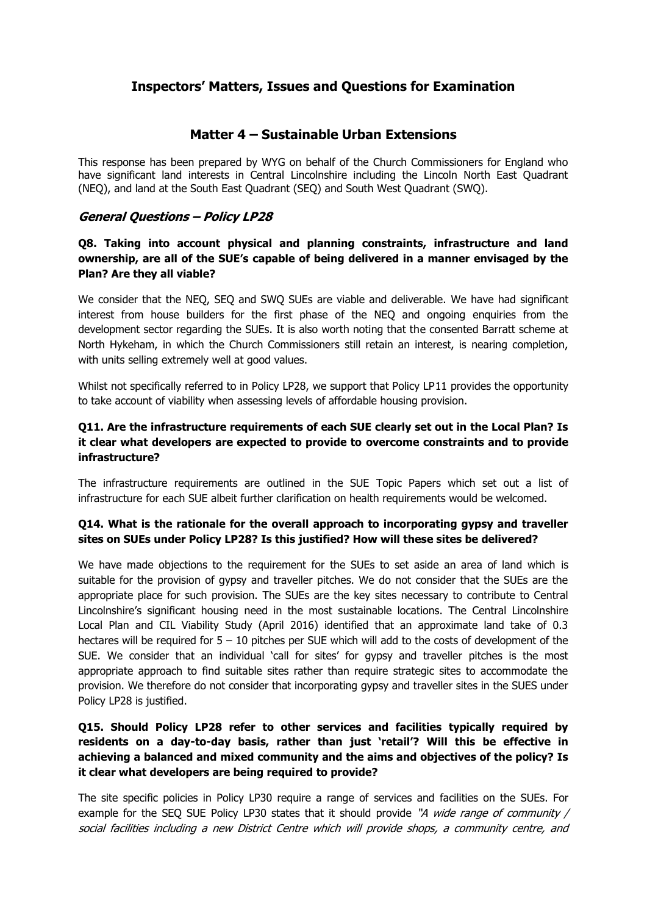# **Inspectors' Matters, Issues and Questions for Examination**

# **Matter 4 – Sustainable Urban Extensions**

This response has been prepared by WYG on behalf of the Church Commissioners for England who have significant land interests in Central Lincolnshire including the Lincoln North East Quadrant (NEQ), and land at the South East Quadrant (SEQ) and South West Quadrant (SWQ).

# **General Questions – Policy LP28**

# **Q8. Taking into account physical and planning constraints, infrastructure and land ownership, are all of the SUE's capable of being delivered in a manner envisaged by the Plan? Are they all viable?**

We consider that the NEQ, SEQ and SWQ SUEs are viable and deliverable. We have had significant interest from house builders for the first phase of the NEQ and ongoing enquiries from the development sector regarding the SUEs. It is also worth noting that the consented Barratt scheme at North Hykeham, in which the Church Commissioners still retain an interest, is nearing completion, with units selling extremely well at good values.

Whilst not specifically referred to in Policy LP28, we support that Policy LP11 provides the opportunity to take account of viability when assessing levels of affordable housing provision.

### **Q11. Are the infrastructure requirements of each SUE clearly set out in the Local Plan? Is it clear what developers are expected to provide to overcome constraints and to provide infrastructure?**

The infrastructure requirements are outlined in the SUE Topic Papers which set out a list of infrastructure for each SUE albeit further clarification on health requirements would be welcomed.

### **Q14. What is the rationale for the overall approach to incorporating gypsy and traveller sites on SUEs under Policy LP28? Is this justified? How will these sites be delivered?**

We have made objections to the requirement for the SUEs to set aside an area of land which is suitable for the provision of gypsy and traveller pitches. We do not consider that the SUEs are the appropriate place for such provision. The SUEs are the key sites necessary to contribute to Central Lincolnshire's significant housing need in the most sustainable locations. The Central Lincolnshire Local Plan and CIL Viability Study (April 2016) identified that an approximate land take of 0.3 hectares will be required for  $5 - 10$  pitches per SUE which will add to the costs of development of the SUE. We consider that an individual 'call for sites' for gypsy and traveller pitches is the most appropriate approach to find suitable sites rather than require strategic sites to accommodate the provision. We therefore do not consider that incorporating gypsy and traveller sites in the SUES under Policy LP28 is justified.

# **Q15. Should Policy LP28 refer to other services and facilities typically required by residents on a day-to-day basis, rather than just 'retail'? Will this be effective in achieving a balanced and mixed community and the aims and objectives of the policy? Is it clear what developers are being required to provide?**

The site specific policies in Policy LP30 require a range of services and facilities on the SUEs. For example for the SEQ SUE Policy LP30 states that it should provide "A wide range of community / social facilities including a new District Centre which will provide shops, a community centre, and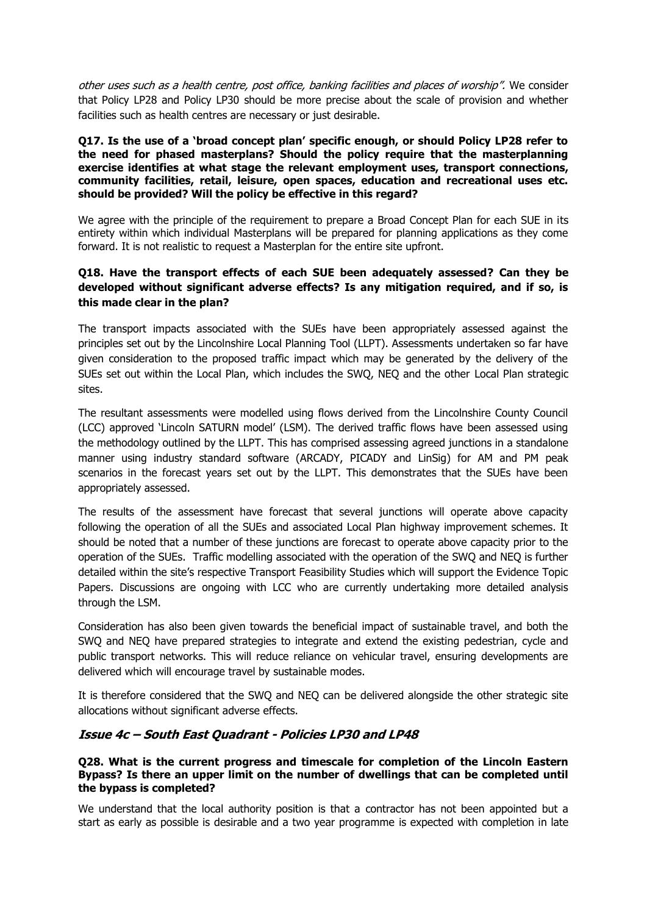other uses such as a health centre, post office, banking facilities and places of worship". We consider that Policy LP28 and Policy LP30 should be more precise about the scale of provision and whether facilities such as health centres are necessary or just desirable.

### **Q17. Is the use of a 'broad concept plan' specific enough, or should Policy LP28 refer to the need for phased masterplans? Should the policy require that the masterplanning exercise identifies at what stage the relevant employment uses, transport connections, community facilities, retail, leisure, open spaces, education and recreational uses etc. should be provided? Will the policy be effective in this regard?**

We agree with the principle of the requirement to prepare a Broad Concept Plan for each SUE in its entirety within which individual Masterplans will be prepared for planning applications as they come forward. It is not realistic to request a Masterplan for the entire site upfront.

# **Q18. Have the transport effects of each SUE been adequately assessed? Can they be developed without significant adverse effects? Is any mitigation required, and if so, is this made clear in the plan?**

The transport impacts associated with the SUEs have been appropriately assessed against the principles set out by the Lincolnshire Local Planning Tool (LLPT). Assessments undertaken so far have given consideration to the proposed traffic impact which may be generated by the delivery of the SUEs set out within the Local Plan, which includes the SWQ, NEQ and the other Local Plan strategic sites.

The resultant assessments were modelled using flows derived from the Lincolnshire County Council (LCC) approved 'Lincoln SATURN model' (LSM). The derived traffic flows have been assessed using the methodology outlined by the LLPT. This has comprised assessing agreed junctions in a standalone manner using industry standard software (ARCADY, PICADY and LinSig) for AM and PM peak scenarios in the forecast years set out by the LLPT. This demonstrates that the SUEs have been appropriately assessed.

The results of the assessment have forecast that several junctions will operate above capacity following the operation of all the SUEs and associated Local Plan highway improvement schemes. It should be noted that a number of these junctions are forecast to operate above capacity prior to the operation of the SUEs. Traffic modelling associated with the operation of the SWQ and NEQ is further detailed within the site's respective Transport Feasibility Studies which will support the Evidence Topic Papers. Discussions are ongoing with LCC who are currently undertaking more detailed analysis through the LSM.

Consideration has also been given towards the beneficial impact of sustainable travel, and both the SWQ and NEQ have prepared strategies to integrate and extend the existing pedestrian, cycle and public transport networks. This will reduce reliance on vehicular travel, ensuring developments are delivered which will encourage travel by sustainable modes.

It is therefore considered that the SWQ and NEQ can be delivered alongside the other strategic site allocations without significant adverse effects.

### **Issue 4c – South East Quadrant - Policies LP30 and LP48**

### **Q28. What is the current progress and timescale for completion of the Lincoln Eastern Bypass? Is there an upper limit on the number of dwellings that can be completed until the bypass is completed?**

We understand that the local authority position is that a contractor has not been appointed but a start as early as possible is desirable and a two year programme is expected with completion in late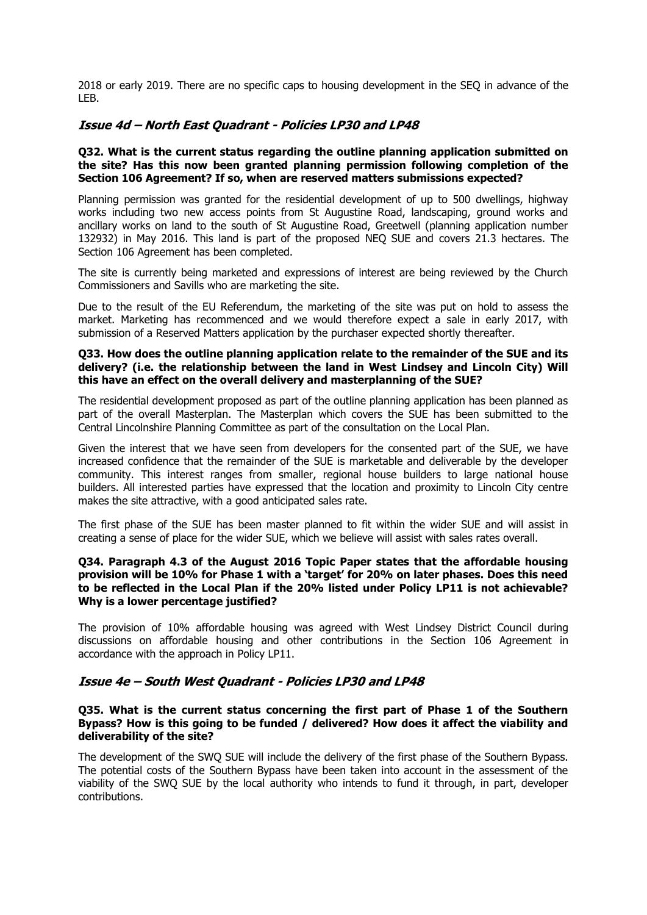2018 or early 2019. There are no specific caps to housing development in the SEQ in advance of the LEB.

# **Issue 4d – North East Quadrant - Policies LP30 and LP48**

### **Q32. What is the current status regarding the outline planning application submitted on the site? Has this now been granted planning permission following completion of the Section 106 Agreement? If so, when are reserved matters submissions expected?**

Planning permission was granted for the residential development of up to 500 dwellings, highway works including two new access points from St Augustine Road, landscaping, ground works and ancillary works on land to the south of St Augustine Road, Greetwell (planning application number 132932) in May 2016. This land is part of the proposed NEQ SUE and covers 21.3 hectares. The Section 106 Agreement has been completed.

The site is currently being marketed and expressions of interest are being reviewed by the Church Commissioners and Savills who are marketing the site.

Due to the result of the EU Referendum, the marketing of the site was put on hold to assess the market. Marketing has recommenced and we would therefore expect a sale in early 2017, with submission of a Reserved Matters application by the purchaser expected shortly thereafter.

#### **Q33. How does the outline planning application relate to the remainder of the SUE and its delivery? (i.e. the relationship between the land in West Lindsey and Lincoln City) Will this have an effect on the overall delivery and masterplanning of the SUE?**

The residential development proposed as part of the outline planning application has been planned as part of the overall Masterplan. The Masterplan which covers the SUE has been submitted to the Central Lincolnshire Planning Committee as part of the consultation on the Local Plan.

Given the interest that we have seen from developers for the consented part of the SUE, we have increased confidence that the remainder of the SUE is marketable and deliverable by the developer community. This interest ranges from smaller, regional house builders to large national house builders. All interested parties have expressed that the location and proximity to Lincoln City centre makes the site attractive, with a good anticipated sales rate.

The first phase of the SUE has been master planned to fit within the wider SUE and will assist in creating a sense of place for the wider SUE, which we believe will assist with sales rates overall.

### **Q34. Paragraph 4.3 of the August 2016 Topic Paper states that the affordable housing provision will be 10% for Phase 1 with a 'target' for 20% on later phases. Does this need to be reflected in the Local Plan if the 20% listed under Policy LP11 is not achievable? Why is a lower percentage justified?**

The provision of 10% affordable housing was agreed with West Lindsey District Council during discussions on affordable housing and other contributions in the Section 106 Agreement in accordance with the approach in Policy LP11.

### **Issue 4e – South West Quadrant - Policies LP30 and LP48**

### **Q35. What is the current status concerning the first part of Phase 1 of the Southern Bypass? How is this going to be funded / delivered? How does it affect the viability and deliverability of the site?**

The development of the SWQ SUE will include the delivery of the first phase of the Southern Bypass. The potential costs of the Southern Bypass have been taken into account in the assessment of the viability of the SWQ SUE by the local authority who intends to fund it through, in part, developer contributions.